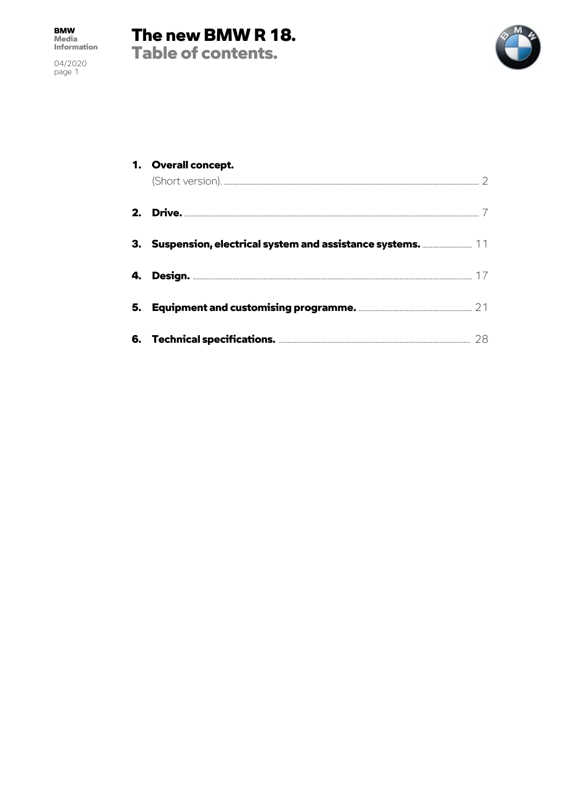04/2020<br>page 1





| 1. Overall concept. |  |
|---------------------|--|
|                     |  |
|                     |  |
|                     |  |
|                     |  |
|                     |  |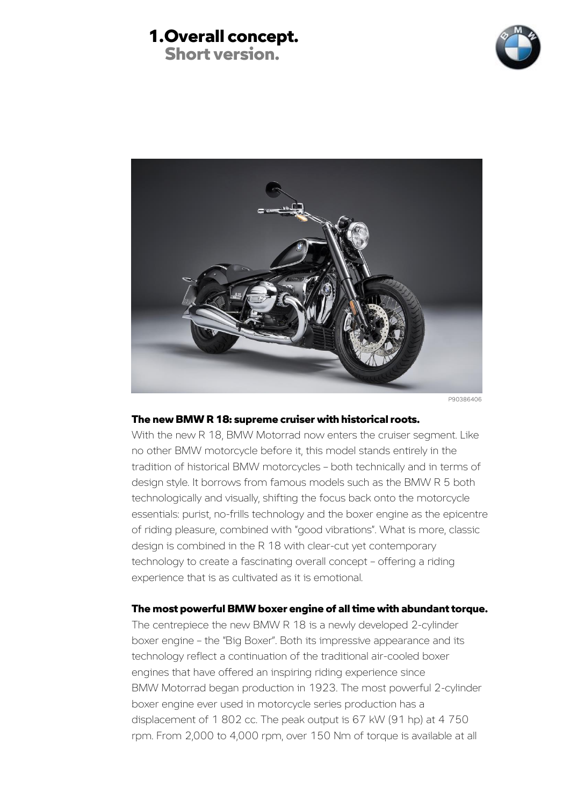### 1.Overall concept. Short version.





#### The new BMW R 18: supreme cruiser with historical roots.

With the new R 18, BMW Motorrad now enters the cruiser segment. Like no other BMW motorcycle before it, this model stands entirely in the tradition of historical BMW motorcycles – both technically and in terms of design style. It borrows from famous models such as the BMW R 5 both technologically and visually, shifting the focus back onto the motorcycle essentials: purist, no-frills technology and the boxer engine as the epicentre of riding pleasure, combined with "good vibrations". What is more, classic design is combined in the R 18 with clear-cut yet contemporary technology to create a fascinating overall concept – offering a riding experience that is as cultivated as it is emotional.

#### The most powerful BMW boxer engine of all time with abundant torque.

The centrepiece the new BMW R 18 is a newly developed 2-cylinder boxer engine – the "Big Boxer". Both its impressive appearance and its technology reflect a continuation of the traditional air-cooled boxer engines that have offered an inspiring riding experience since BMW Motorrad began production in 1923. The most powerful 2-cylinder boxer engine ever used in motorcycle series production has a displacement of 1 802 cc. The peak output is 67 kW (91 hp) at 4 750 rpm. From 2,000 to 4,000 rpm, over 150 Nm of torque is available at all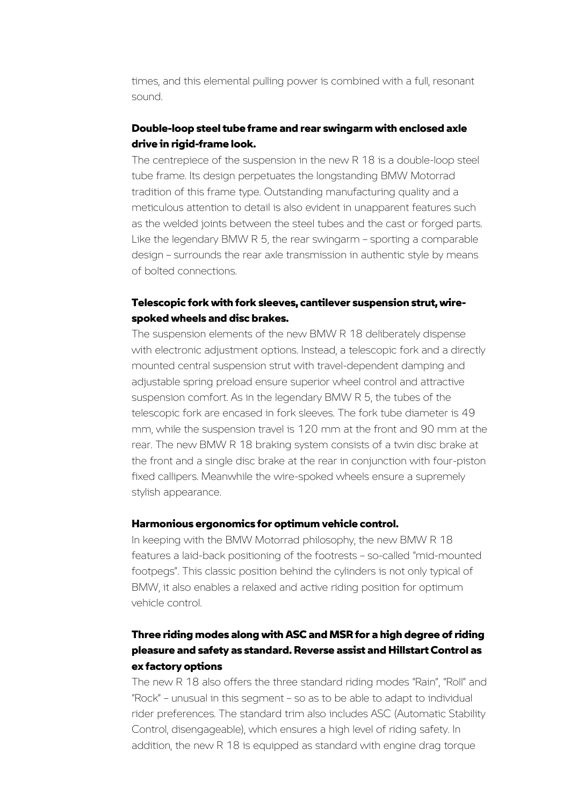times, and this elemental pulling power is combined with a full, resonant sound.

#### Double-loop steel tube frame and rear swingarm with enclosed axle drive in rigid-frame look.

The centrepiece of the suspension in the new R 18 is a double-loop steel tube frame. Its design perpetuates the longstanding BMW Motorrad tradition of this frame type. Outstanding manufacturing quality and a meticulous attention to detail is also evident in unapparent features such as the welded joints between the steel tubes and the cast or forged parts. Like the legendary BMW R 5, the rear swingarm – sporting a comparable design – surrounds the rear axle transmission in authentic style by means of bolted connections.

#### Telescopic fork with fork sleeves, cantilever suspension strut, wirespoked wheels and disc brakes.

The suspension elements of the new BMW R 18 deliberately dispense with electronic adjustment options. Instead, a telescopic fork and a directly mounted central suspension strut with travel-dependent damping and adjustable spring preload ensure superior wheel control and attractive suspension comfort. As in the legendary BMW R 5, the tubes of the telescopic fork are encased in fork sleeves. The fork tube diameter is 49 mm, while the suspension travel is 120 mm at the front and 90 mm at the rear. The new BMW R 18 braking system consists of a twin disc brake at the front and a single disc brake at the rear in conjunction with four-piston fixed callipers. Meanwhile the wire-spoked wheels ensure a supremely stylish appearance.

#### Harmonious ergonomics for optimum vehicle control.

In keeping with the BMW Motorrad philosophy, the new BMW R 18 features a laid-back positioning of the footrests – so-called "mid-mounted footpegs". This classic position behind the cylinders is not only typical of BMW, it also enables a relaxed and active riding position for optimum vehicle control.

### Three riding modes along with ASC and MSR for a high degree of riding pleasure and safety as standard. Reverse assist and Hillstart Control as ex factory options

The new R 18 also offers the three standard riding modes "Rain", "Roll" and "Rock" – unusual in this segment – so as to be able to adapt to individual rider preferences. The standard trim also includes ASC (Automatic Stability Control, disengageable), which ensures a high level of riding safety. In addition, the new R 18 is equipped as standard with engine drag torque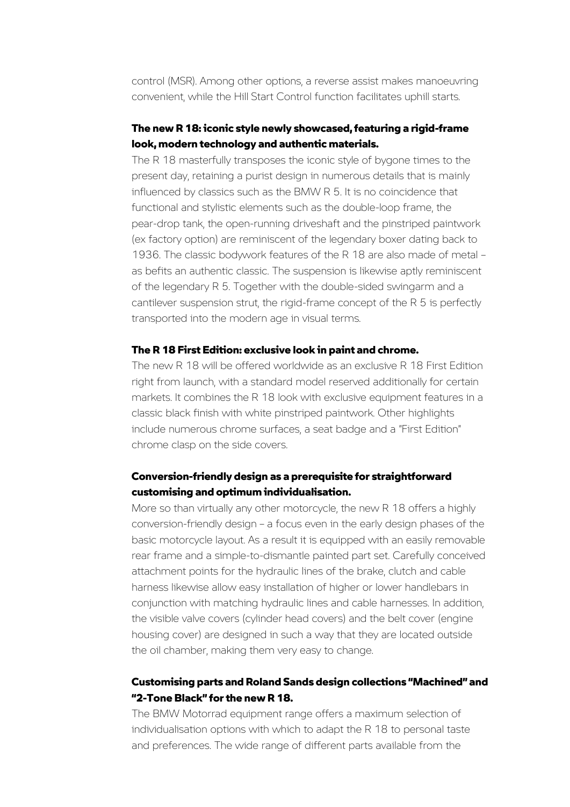control (MSR). Among other options, a reverse assist makes manoeuvring convenient, while the Hill Start Control function facilitates uphill starts.

### The new R 18: iconic style newly showcased, featuring a rigid-frame look, modern technology and authentic materials.

The R 18 masterfully transposes the iconic style of bygone times to the present day, retaining a purist design in numerous details that is mainly influenced by classics such as the BMW R 5. It is no coincidence that functional and stylistic elements such as the double-loop frame, the pear-drop tank, the open-running driveshaft and the pinstriped paintwork (ex factory option) are reminiscent of the legendary boxer dating back to 1936. The classic bodywork features of the R 18 are also made of metal – as befits an authentic classic. The suspension is likewise aptly reminiscent of the legendary R 5. Together with the double-sided swingarm and a cantilever suspension strut, the rigid-frame concept of the R 5 is perfectly transported into the modern age in visual terms.

#### The R 18 First Edition: exclusive look in paint and chrome.

The new R 18 will be offered worldwide as an exclusive R 18 First Edition right from launch, with a standard model reserved additionally for certain markets. It combines the R 18 look with exclusive equipment features in a classic black finish with white pinstriped paintwork. Other highlights include numerous chrome surfaces, a seat badge and a "First Edition" chrome clasp on the side covers.

#### Conversion-friendly design as a prerequisite for straightforward customising and optimum individualisation.

More so than virtually any other motorcycle, the new R 18 offers a highly conversion-friendly design – a focus even in the early design phases of the basic motorcycle layout. As a result it is equipped with an easily removable rear frame and a simple-to-dismantle painted part set. Carefully conceived attachment points for the hydraulic lines of the brake, clutch and cable harness likewise allow easy installation of higher or lower handlebars in conjunction with matching hydraulic lines and cable harnesses. In addition, the visible valve covers (cylinder head covers) and the belt cover (engine housing cover) are designed in such a way that they are located outside the oil chamber, making them very easy to change.

### Customising parts and Roland Sands design collections "Machined" and "2-Tone Black" for the new R 18.

The BMW Motorrad equipment range offers a maximum selection of individualisation options with which to adapt the R 18 to personal taste and preferences. The wide range of different parts available from the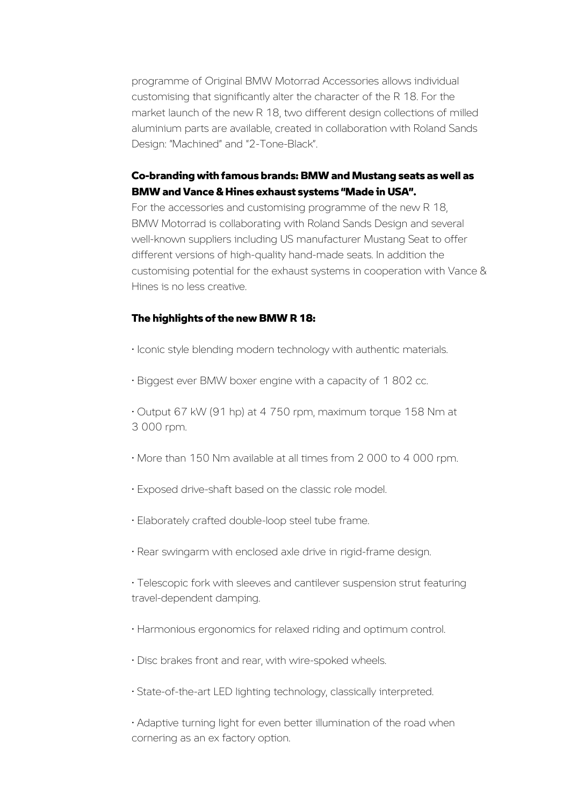programme of Original BMW Motorrad Accessories allows individual customising that significantly alter the character of the R 18. For the market launch of the new R 18, two different design collections of milled aluminium parts are available, created in collaboration with Roland Sands Design: "Machined" and "2-Tone-Black".

#### Co-branding with famous brands: BMW and Mustang seats as well as BMW and Vance & Hines exhaust systems "Made in USA".

For the accessories and customising programme of the new R 18, BMW Motorrad is collaborating with Roland Sands Design and several well-known suppliers including US manufacturer Mustang Seat to offer different versions of high-quality hand-made seats. In addition the customising potential for the exhaust systems in cooperation with Vance & Hines is no less creative.

#### The highlights of the new BMW R 18:

- Iconic style blending modern technology with authentic materials.
- Biggest ever BMW boxer engine with a capacity of 1 802 cc.

• Output 67 kW (91 hp) at 4 750 rpm, maximum torque 158 Nm at 3 000 rpm.

- More than 150 Nm available at all times from 2 000 to 4 000 rpm.
- Exposed drive-shaft based on the classic role model.
- Elaborately crafted double-loop steel tube frame.
- Rear swingarm with enclosed axle drive in rigid-frame design.

• Telescopic fork with sleeves and cantilever suspension strut featuring travel-dependent damping.

- Harmonious ergonomics for relaxed riding and optimum control.
- Disc brakes front and rear, with wire-spoked wheels.
- State-of-the-art LED lighting technology, classically interpreted.

• Adaptive turning light for even better illumination of the road when cornering as an ex factory option.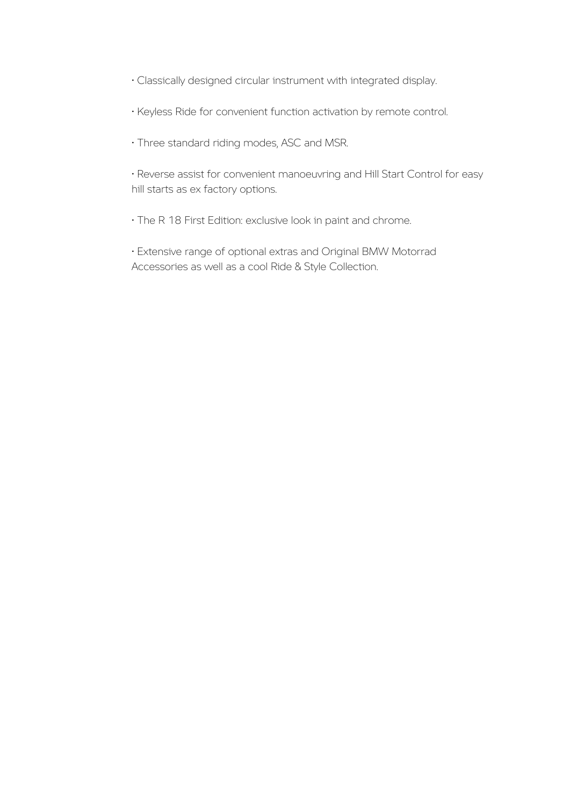- Classically designed circular instrument with integrated display.
- Keyless Ride for convenient function activation by remote control.
- Three standard riding modes, ASC and MSR.

• Reverse assist for convenient manoeuvring and Hill Start Control for easy hill starts as ex factory options.

• The R 18 First Edition: exclusive look in paint and chrome.

• Extensive range of optional extras and Original BMW Motorrad Accessories as well as a cool Ride & Style Collection.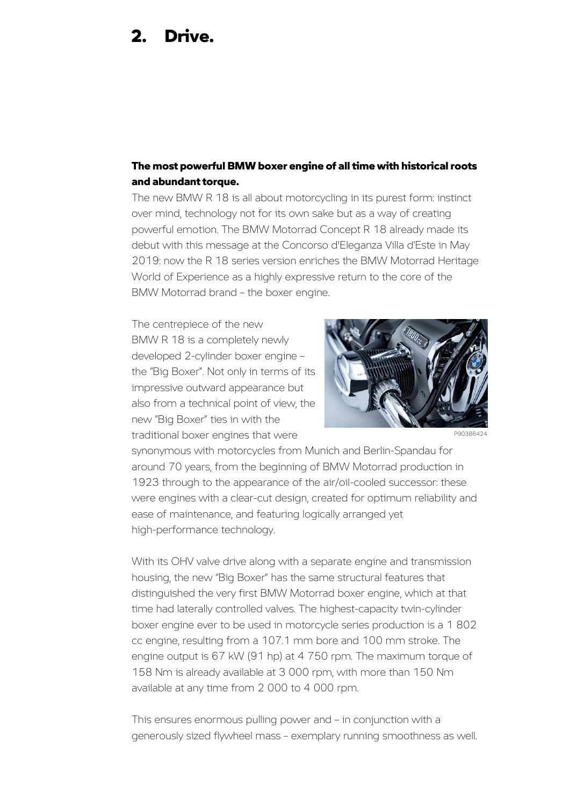## 2. Drive.

#### The most powerful BMW boxer engine of all time with historical roots and abundant torque.

The new BMW R 18 is all about motorcycling in its purest form: instinct over mind, technology not for its own sake but as a way of creating powerful emotion. The BMW Motorrad Concept R 18 already made its debut with this message at the Concorso d'Eleganza Villa d'Este in May 2019: now the R 18 series version enriches the BMW Motorrad Heritage World of Experience as a highly expressive return to the core of the BMW Motorrad brand – the boxer engine.

The centrepiece of the new BMW R 18 is a completely newly developed 2-cylinder boxer engine – the "Big Boxer". Not only in terms of its impressive outward appearance but also from a technical point of view, the new "Big Boxer" ties in with the traditional boxer engines that were



P90386424

synonymous with motorcycles from Munich and Berlin-Spandau for around 70 years, from the beginning of BMW Motorrad production in 1923 through to the appearance of the air/oil-cooled successor: these were engines with a clear-cut design, created for optimum reliability and ease of maintenance, and featuring logically arranged yet high-performance technology.

With its OHV valve drive along with a separate engine and transmission housing, the new "Big Boxer" has the same structural features that distinguished the very first BMW Motorrad boxer engine, which at that time had laterally controlled valves. The highest-capacity twin-cylinder boxer engine ever to be used in motorcycle series production is a 1 802 cc engine, resulting from a 107.1 mm bore and 100 mm stroke. The engine output is 67 kW (91 hp) at 4 750 rpm. The maximum torque of 158 Nm is already available at 3 000 rpm, with more than 150 Nm available at any time from 2 000 to 4 000 rpm.

This ensures enormous pulling power and – in conjunction with a generously sized flywheel mass – exemplary running smoothness as well.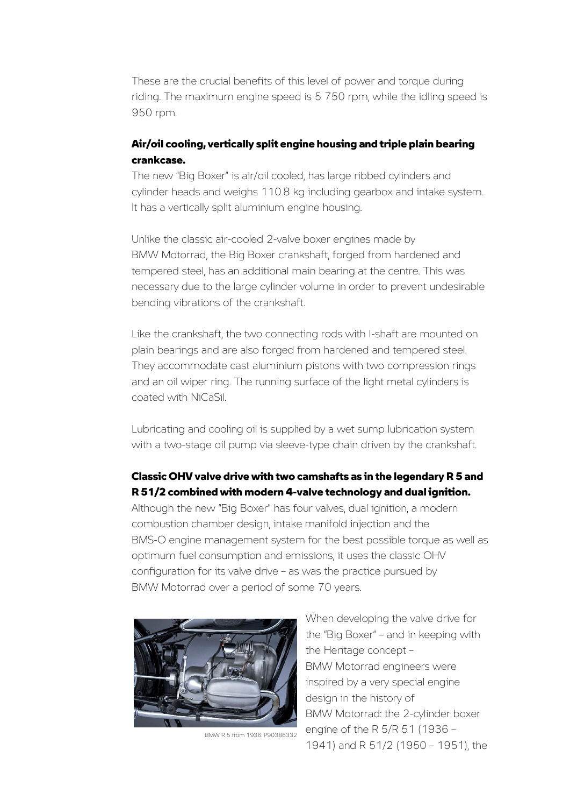These are the crucial benefits of this level of power and torque during riding. The maximum engine speed is 5 750 rpm, while the idling speed is 950 rpm.

#### Air/oil cooling, vertically split engine housing and triple plain bearing crankcase.

The new "Big Boxer" is air/oil cooled, has large ribbed cylinders and cylinder heads and weighs 110.8 kg including gearbox and intake system. It has a vertically split aluminium engine housing.

Unlike the classic air-cooled 2-valve boxer engines made by BMW Motorrad, the Big Boxer crankshaft, forged from hardened and tempered steel, has an additional main bearing at the centre. This was necessary due to the large cylinder volume in order to prevent undesirable bending vibrations of the crankshaft.

Like the crankshaft, the two connecting rods with I-shaft are mounted on plain bearings and are also forged from hardened and tempered steel. They accommodate cast aluminium pistons with two compression rings and an oil wiper ring. The running surface of the light metal cylinders is coated with NiCaSil.

Lubricating and cooling oil is supplied by a wet sump lubrication system with a two-stage oil pump via sleeve-type chain driven by the crankshaft.

### Classic OHV valve drive with two camshafts as in the legendary R 5 and R 51/2 combined with modern 4-valve technology and dual ignition.

Although the new "Big Boxer" has four valves, dual ignition, a modern combustion chamber design, intake manifold injection and the BMS-O engine management system for the best possible torque as well as optimum fuel consumption and emissions, it uses the classic OHV configuration for its valve drive – as was the practice pursued by BMW Motorrad over a period of some 70 years.



BMW R 5 from 1936. P90386332

When developing the valve drive for the "Big Boxer" – and in keeping with the Heritage concept – BMW Motorrad engineers were inspired by a very special engine design in the history of BMW Motorrad: the 2-cylinder boxer engine of the R 5/R 51 (1936 – 1941) and R 51/2 (1950 – 1951), the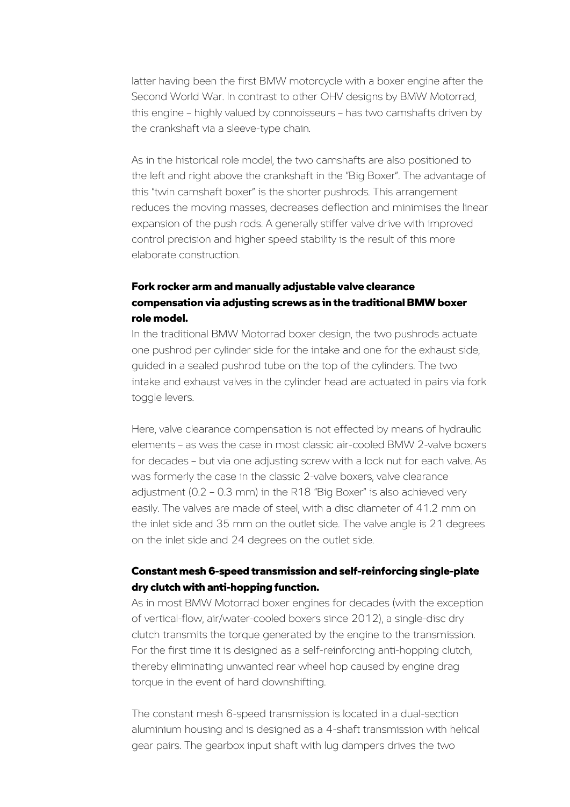latter having been the first BMW motorcycle with a boxer engine after the Second World War. In contrast to other OHV designs by BMW Motorrad, this engine – highly valued by connoisseurs – has two camshafts driven by the crankshaft via a sleeve-type chain.

As in the historical role model, the two camshafts are also positioned to the left and right above the crankshaft in the "Big Boxer". The advantage of this "twin camshaft boxer" is the shorter pushrods. This arrangement reduces the moving masses, decreases deflection and minimises the linear expansion of the push rods. A generally stiffer valve drive with improved control precision and higher speed stability is the result of this more elaborate construction.

### Fork rocker arm and manually adjustable valve clearance compensation via adjusting screws as in the traditional BMW boxer role model.

In the traditional BMW Motorrad boxer design, the two pushrods actuate one pushrod per cylinder side for the intake and one for the exhaust side, guided in a sealed pushrod tube on the top of the cylinders. The two intake and exhaust valves in the cylinder head are actuated in pairs via fork toggle levers.

Here, valve clearance compensation is not effected by means of hydraulic elements – as was the case in most classic air-cooled BMW 2-valve boxers for decades – but via one adjusting screw with a lock nut for each valve. As was formerly the case in the classic 2-valve boxers, valve clearance adjustment (0.2 – 0.3 mm) in the R18 "Big Boxer" is also achieved very easily. The valves are made of steel, with a disc diameter of 41.2 mm on the inlet side and 35 mm on the outlet side. The valve angle is 21 degrees on the inlet side and 24 degrees on the outlet side.

### Constant mesh 6-speed transmission and self-reinforcing single-plate dry clutch with anti-hopping function.

As in most BMW Motorrad boxer engines for decades (with the exception of vertical-flow, air/water-cooled boxers since 2012), a single-disc dry clutch transmits the torque generated by the engine to the transmission. For the first time it is designed as a self-reinforcing anti-hopping clutch, thereby eliminating unwanted rear wheel hop caused by engine drag torque in the event of hard downshifting.

The constant mesh 6-speed transmission is located in a dual-section aluminium housing and is designed as a 4-shaft transmission with helical gear pairs. The gearbox input shaft with lug dampers drives the two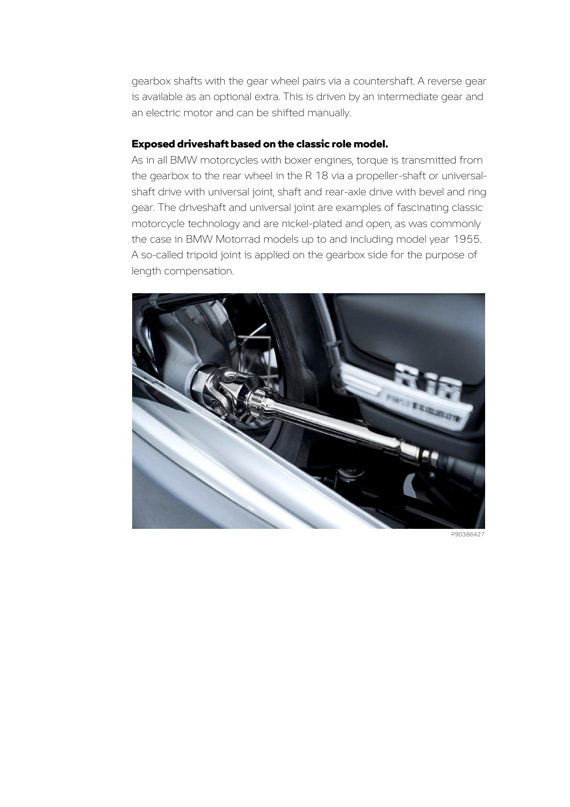gearbox shafts with the gear wheel pairs via a countershaft. A reverse gear is available as an optional extra. This is driven by an intermediate gear and an electric motor and can be shifted manually.

#### Exposed driveshaft based on the classic role model.

As in all BMW motorcycles with boxer engines, torque is transmitted from the gearbox to the rear wheel in the R 18 via a propeller-shaft or universalshaft drive with universal joint, shaft and rear-axle drive with bevel and ring gear. The driveshaft and universal joint are examples of fascinating classic motorcycle technology and are nickel-plated and open, as was commonly the case in BMW Motorrad models up to and including model year 1955. A so-called tripoid joint is applied on the gearbox side for the purpose of length compensation.



P90386427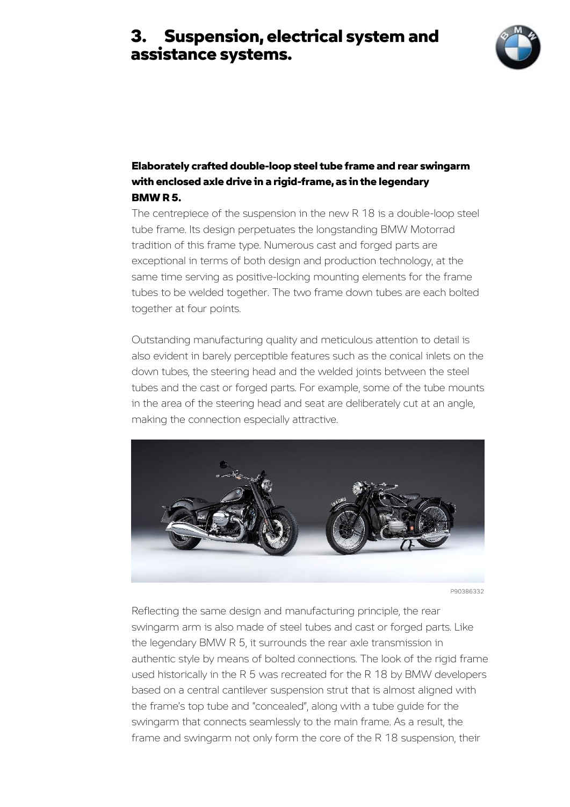

### Elaborately crafted double-loop steel tube frame and rear swingarm with enclosed axle drive in a rigid-frame, as in the legendary BMW R 5.

The centrepiece of the suspension in the new R 18 is a double-loop steel tube frame. Its design perpetuates the longstanding BMW Motorrad tradition of this frame type. Numerous cast and forged parts are exceptional in terms of both design and production technology, at the same time serving as positive-locking mounting elements for the frame tubes to be welded together. The two frame down tubes are each bolted together at four points.

Outstanding manufacturing quality and meticulous attention to detail is also evident in barely perceptible features such as the conical inlets on the down tubes, the steering head and the welded joints between the steel tubes and the cast or forged parts. For example, some of the tube mounts in the area of the steering head and seat are deliberately cut at an angle, making the connection especially attractive.



P90386332

Reflecting the same design and manufacturing principle, the rear swingarm arm is also made of steel tubes and cast or forged parts. Like the legendary BMW R 5, it surrounds the rear axle transmission in authentic style by means of bolted connections. The look of the rigid frame used historically in the R 5 was recreated for the R 18 by BMW developers based on a central cantilever suspension strut that is almost aligned with the frame's top tube and "concealed", along with a tube guide for the swingarm that connects seamlessly to the main frame. As a result, the frame and swingarm not only form the core of the R 18 suspension, their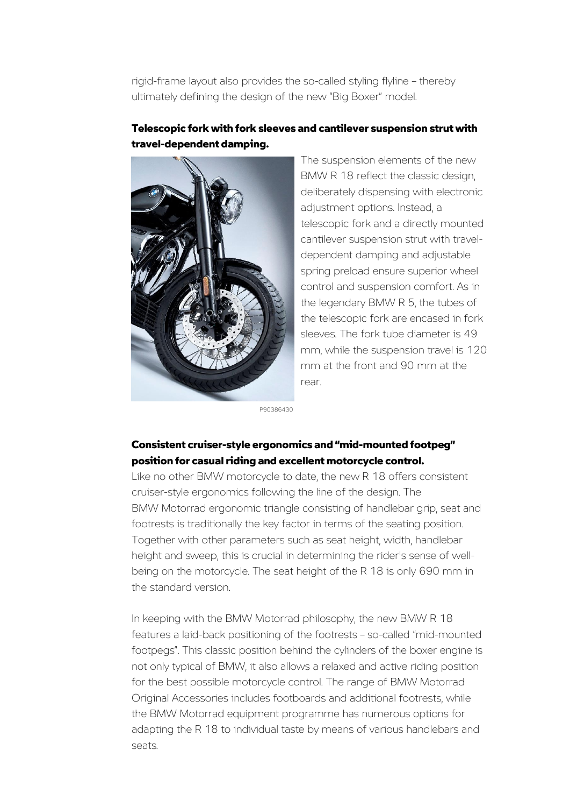rigid-frame layout also provides the so-called styling flyline – thereby ultimately defining the design of the new "Big Boxer" model.

### Telescopic fork with fork sleeves and cantilever suspension strut with travel-dependent damping.



The suspension elements of the new BMW R 18 reflect the classic design, deliberately dispensing with electronic adjustment options. Instead, a telescopic fork and a directly mounted cantilever suspension strut with traveldependent damping and adjustable spring preload ensure superior wheel control and suspension comfort. As in the legendary BMW R 5, the tubes of the telescopic fork are encased in fork sleeves. The fork tube diameter is 49 mm, while the suspension travel is 120 mm at the front and 90 mm at the rear.

P90386430

### Consistent cruiser-style ergonomics and "mid-mounted footpeg" position for casual riding and excellent motorcycle control.

Like no other BMW motorcycle to date, the new R 18 offers consistent cruiser-style ergonomics following the line of the design. The BMW Motorrad ergonomic triangle consisting of handlebar grip, seat and footrests is traditionally the key factor in terms of the seating position. Together with other parameters such as seat height, width, handlebar height and sweep, this is crucial in determining the rider's sense of wellbeing on the motorcycle. The seat height of the R 18 is only 690 mm in the standard version.

In keeping with the BMW Motorrad philosophy, the new BMW R 18 features a laid-back positioning of the footrests – so-called "mid-mounted footpegs". This classic position behind the cylinders of the boxer engine is not only typical of BMW, it also allows a relaxed and active riding position for the best possible motorcycle control. The range of BMW Motorrad Original Accessories includes footboards and additional footrests, while the BMW Motorrad equipment programme has numerous options for adapting the R 18 to individual taste by means of various handlebars and seats.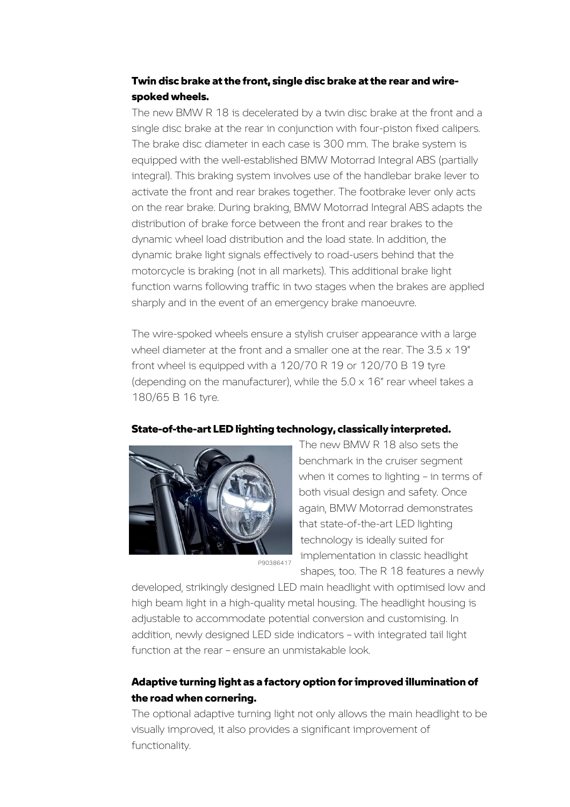### Twin disc brake at the front, single disc brake at the rear and wirespoked wheels.

The new BMW R 18 is decelerated by a twin disc brake at the front and a single disc brake at the rear in conjunction with four-piston fixed calipers. The brake disc diameter in each case is 300 mm. The brake system is equipped with the well-established BMW Motorrad Integral ABS (partially integral). This braking system involves use of the handlebar brake lever to activate the front and rear brakes together. The footbrake lever only acts on the rear brake. During braking, BMW Motorrad Integral ABS adapts the distribution of brake force between the front and rear brakes to the dynamic wheel load distribution and the load state. In addition, the dynamic brake light signals effectively to road-users behind that the motorcycle is braking (not in all markets). This additional brake light function warns following traffic in two stages when the brakes are applied sharply and in the event of an emergency brake manoeuvre.

The wire-spoked wheels ensure a stylish cruiser appearance with a large wheel diameter at the front and a smaller one at the rear. The  $3.5 \times 19$ " front wheel is equipped with a 120/70 R 19 or 120/70 B 19 tyre (depending on the manufacturer), while the  $5.0 \times 16$ " rear wheel takes a 180/65 B 16 tyre.





P90386417

The new BMW R 18 also sets the benchmark in the cruiser segment when it comes to lighting – in terms of both visual design and safety. Once again, BMW Motorrad demonstrates that state-of-the-art LED lighting technology is ideally suited for implementation in classic headlight shapes, too. The R 18 features a newly

developed, strikingly designed LED main headlight with optimised low and high beam light in a high-quality metal housing. The headlight housing is adjustable to accommodate potential conversion and customising. In addition, newly designed LED side indicators – with integrated tail light function at the rear – ensure an unmistakable look.

### Adaptive turning light as a factory option for improved illumination of the road when cornering.

The optional adaptive turning light not only allows the main headlight to be visually improved, it also provides a significant improvement of functionality.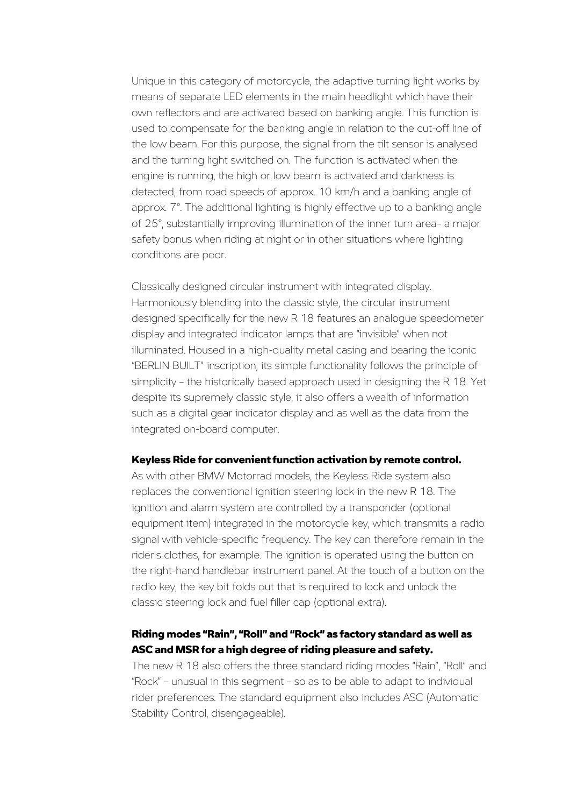Unique in this category of motorcycle, the adaptive turning light works by means of separate LED elements in the main headlight which have their own reflectors and are activated based on banking angle. This function is used to compensate for the banking angle in relation to the cut-off line of the low beam. For this purpose, the signal from the tilt sensor is analysed and the turning light switched on. The function is activated when the engine is running, the high or low beam is activated and darkness is detected, from road speeds of approx. 10 km/h and a banking angle of approx. 7°. The additional lighting is highly effective up to a banking angle of 25°, substantially improving illumination of the inner turn area– a major safety bonus when riding at night or in other situations where lighting conditions are poor.

Classically designed circular instrument with integrated display. Harmoniously blending into the classic style, the circular instrument designed specifically for the new R 18 features an analogue speedometer display and integrated indicator lamps that are "invisible" when not illuminated. Housed in a high-quality metal casing and bearing the iconic "BERLIN BUILT" inscription, its simple functionality follows the principle of simplicity – the historically based approach used in designing the R 18. Yet despite its supremely classic style, it also offers a wealth of information such as a digital gear indicator display and as well as the data from the integrated on-board computer.

#### Keyless Ride for convenient function activation by remote control.

As with other BMW Motorrad models, the Keyless Ride system also replaces the conventional ignition steering lock in the new R 18. The ignition and alarm system are controlled by a transponder (optional equipment item) integrated in the motorcycle key, which transmits a radio signal with vehicle-specific frequency. The key can therefore remain in the rider's clothes, for example. The ignition is operated using the button on the right-hand handlebar instrument panel. At the touch of a button on the radio key, the key bit folds out that is required to lock and unlock the classic steering lock and fuel filler cap (optional extra).

### Riding modes "Rain", "Roll" and "Rock" as factory standard as well as ASC and MSR for a high degree of riding pleasure and safety.

The new R 18 also offers the three standard riding modes "Rain", "Roll" and "Rock" – unusual in this segment – so as to be able to adapt to individual rider preferences. The standard equipment also includes ASC (Automatic Stability Control, disengageable).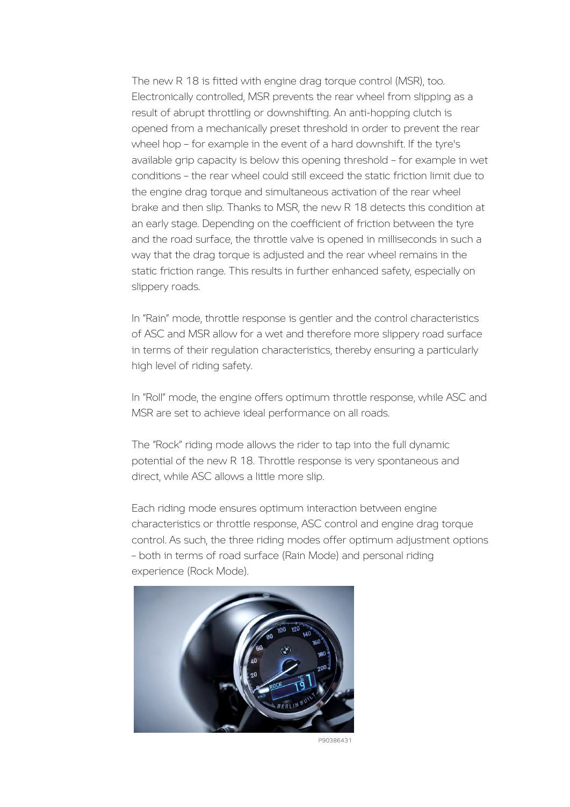The new R 18 is fitted with engine drag torque control (MSR), too. Electronically controlled, MSR prevents the rear wheel from slipping as a result of abrupt throttling or downshifting. An anti-hopping clutch is opened from a mechanically preset threshold in order to prevent the rear wheel hop – for example in the event of a hard downshift. If the tyre's available grip capacity is below this opening threshold – for example in wet conditions – the rear wheel could still exceed the static friction limit due to the engine drag torque and simultaneous activation of the rear wheel brake and then slip. Thanks to MSR, the new R 18 detects this condition at an early stage. Depending on the coefficient of friction between the tyre and the road surface, the throttle valve is opened in milliseconds in such a way that the drag torque is adjusted and the rear wheel remains in the static friction range. This results in further enhanced safety, especially on slippery roads.

In "Rain" mode, throttle response is gentler and the control characteristics of ASC and MSR allow for a wet and therefore more slippery road surface in terms of their regulation characteristics, thereby ensuring a particularly high level of riding safety.

In "Roll" mode, the engine offers optimum throttle response, while ASC and MSR are set to achieve ideal performance on all roads.

The "Rock" riding mode allows the rider to tap into the full dynamic potential of the new R 18. Throttle response is very spontaneous and direct, while ASC allows a little more slip.

Each riding mode ensures optimum interaction between engine characteristics or throttle response, ASC control and engine drag torque control. As such, the three riding modes offer optimum adjustment options – both in terms of road surface (Rain Mode) and personal riding experience (Rock Mode).



P90386431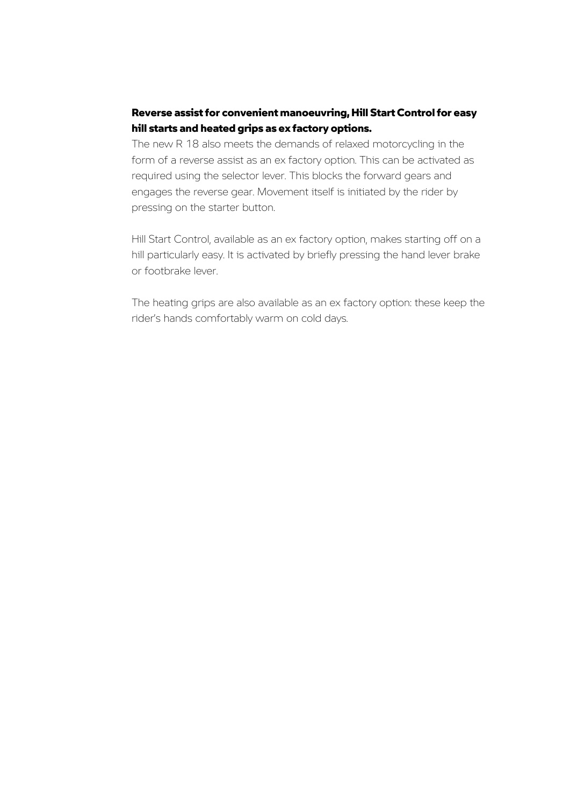### Reverse assist for convenient manoeuvring, Hill Start Control for easy hill starts and heated grips as ex factory options.

The new R 18 also meets the demands of relaxed motorcycling in the form of a reverse assist as an ex factory option. This can be activated as required using the selector lever. This blocks the forward gears and engages the reverse gear. Movement itself is initiated by the rider by pressing on the starter button.

Hill Start Control, available as an ex factory option, makes starting off on a hill particularly easy. It is activated by briefly pressing the hand lever brake or footbrake lever.

The heating grips are also available as an ex factory option: these keep the rider's hands comfortably warm on cold days.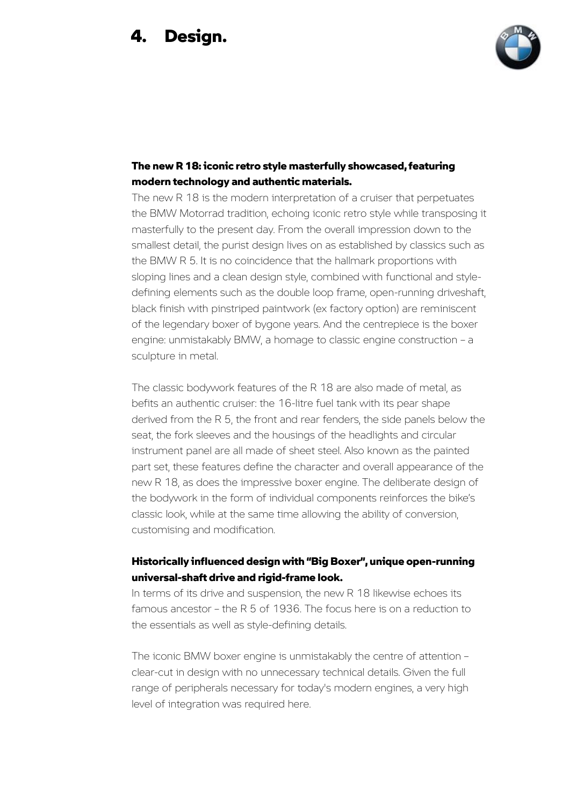## 4. Design.



### The new R 18: iconic retro style masterfully showcased, featuring modern technology and authentic materials.

The new R 18 is the modern interpretation of a cruiser that perpetuates the BMW Motorrad tradition, echoing iconic retro style while transposing it masterfully to the present day. From the overall impression down to the smallest detail, the purist design lives on as established by classics such as the BMW R 5. It is no coincidence that the hallmark proportions with sloping lines and a clean design style, combined with functional and styledefining elements such as the double loop frame, open-running driveshaft, black finish with pinstriped paintwork (ex factory option) are reminiscent of the legendary boxer of bygone years. And the centrepiece is the boxer engine: unmistakably BMW, a homage to classic engine construction – a sculpture in metal.

The classic bodywork features of the R 18 are also made of metal, as befits an authentic cruiser: the 16-litre fuel tank with its pear shape derived from the R 5, the front and rear fenders, the side panels below the seat, the fork sleeves and the housings of the headlights and circular instrument panel are all made of sheet steel. Also known as the painted part set, these features define the character and overall appearance of the new R 18, as does the impressive boxer engine. The deliberate design of the bodywork in the form of individual components reinforces the bike's classic look, while at the same time allowing the ability of conversion, customising and modification.

### Historically influenced design with "Big Boxer", unique open-running universal-shaft drive and rigid-frame look.

In terms of its drive and suspension, the new R 18 likewise echoes its famous ancestor – the R 5 of 1936. The focus here is on a reduction to the essentials as well as style-defining details.

The iconic BMW boxer engine is unmistakably the centre of attention – clear-cut in design with no unnecessary technical details. Given the full range of peripherals necessary for today's modern engines, a very high level of integration was required here.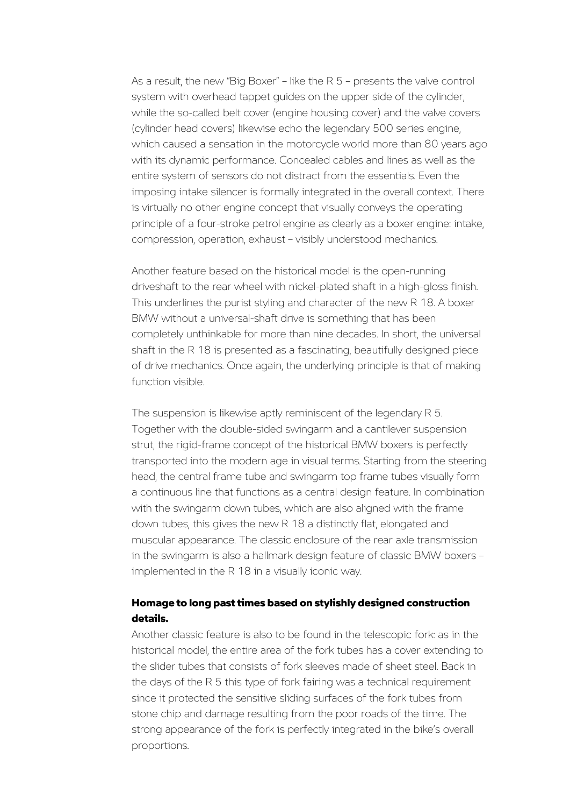As a result, the new "Big Boxer" – like the R 5 – presents the valve control system with overhead tappet guides on the upper side of the cylinder, while the so-called belt cover (engine housing cover) and the valve covers (cylinder head covers) likewise echo the legendary 500 series engine, which caused a sensation in the motorcycle world more than 80 years ago with its dynamic performance. Concealed cables and lines as well as the entire system of sensors do not distract from the essentials. Even the imposing intake silencer is formally integrated in the overall context. There is virtually no other engine concept that visually conveys the operating principle of a four-stroke petrol engine as clearly as a boxer engine: intake, compression, operation, exhaust – visibly understood mechanics.

Another feature based on the historical model is the open-running driveshaft to the rear wheel with nickel-plated shaft in a high-gloss finish. This underlines the purist styling and character of the new R 18. A boxer BMW without a universal-shaft drive is something that has been completely unthinkable for more than nine decades. In short, the universal shaft in the R 18 is presented as a fascinating, beautifully designed piece of drive mechanics. Once again, the underlying principle is that of making function visible.

The suspension is likewise aptly reminiscent of the legendary R 5. Together with the double-sided swingarm and a cantilever suspension strut, the rigid-frame concept of the historical BMW boxers is perfectly transported into the modern age in visual terms. Starting from the steering head, the central frame tube and swingarm top frame tubes visually form a continuous line that functions as a central design feature. In combination with the swingarm down tubes, which are also aligned with the frame down tubes, this gives the new R 18 a distinctly flat, elongated and muscular appearance. The classic enclosure of the rear axle transmission in the swingarm is also a hallmark design feature of classic BMW boxers – implemented in the R 18 in a visually iconic way.

### Homage to long past times based on stylishly designed construction details.

Another classic feature is also to be found in the telescopic fork: as in the historical model, the entire area of the fork tubes has a cover extending to the slider tubes that consists of fork sleeves made of sheet steel. Back in the days of the R 5 this type of fork fairing was a technical requirement since it protected the sensitive sliding surfaces of the fork tubes from stone chip and damage resulting from the poor roads of the time. The strong appearance of the fork is perfectly integrated in the bike's overall proportions.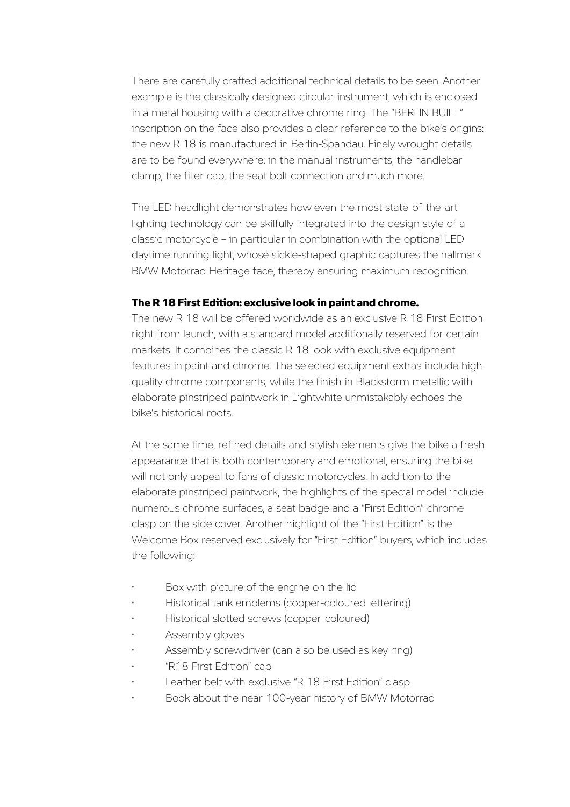There are carefully crafted additional technical details to be seen. Another example is the classically designed circular instrument, which is enclosed in a metal housing with a decorative chrome ring. The "BERLIN BUILT" inscription on the face also provides a clear reference to the bike's origins: the new R 18 is manufactured in Berlin-Spandau. Finely wrought details are to be found everywhere: in the manual instruments, the handlebar clamp, the filler cap, the seat bolt connection and much more.

The LED headlight demonstrates how even the most state-of-the-art lighting technology can be skilfully integrated into the design style of a classic motorcycle – in particular in combination with the optional LED daytime running light, whose sickle-shaped graphic captures the hallmark BMW Motorrad Heritage face, thereby ensuring maximum recognition.

#### The R 18 First Edition: exclusive look in paint and chrome.

The new R 18 will be offered worldwide as an exclusive R 18 First Edition right from launch, with a standard model additionally reserved for certain markets. It combines the classic R 18 look with exclusive equipment features in paint and chrome. The selected equipment extras include highquality chrome components, while the finish in Blackstorm metallic with elaborate pinstriped paintwork in Lightwhite unmistakably echoes the bike's historical roots.

At the same time, refined details and stylish elements give the bike a fresh appearance that is both contemporary and emotional, ensuring the bike will not only appeal to fans of classic motorcycles. In addition to the elaborate pinstriped paintwork, the highlights of the special model include numerous chrome surfaces, a seat badge and a "First Edition" chrome clasp on the side cover. Another highlight of the "First Edition" is the Welcome Box reserved exclusively for "First Edition" buyers, which includes the following:

- Box with picture of the engine on the lid
- Historical tank emblems (copper-coloured lettering)
- Historical slotted screws (copper-coloured)
- Assembly gloves
- Assembly screwdriver (can also be used as key ring)
- "R18 First Edition" cap
- Leather belt with exclusive "R 18 First Edition" clasp
- Book about the near 100-year history of BMW Motorrad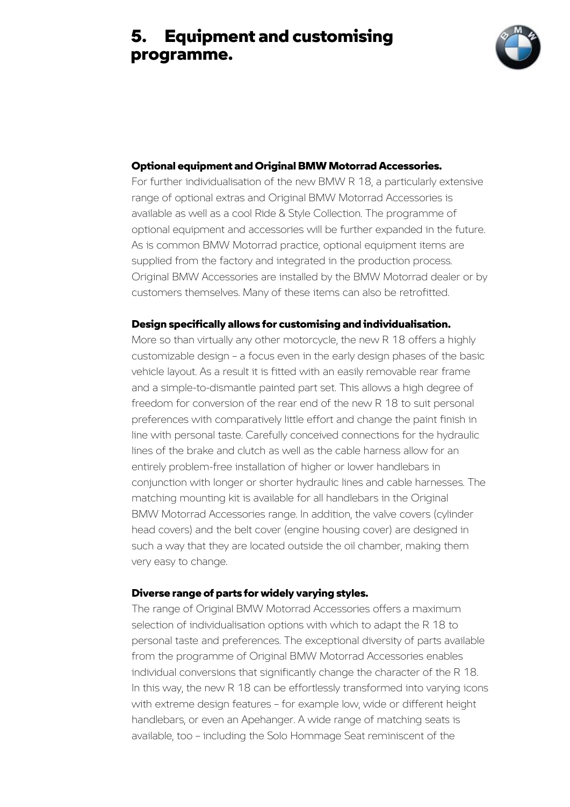## 5. Equipment and customising programme.



#### Optional equipment and Original BMW Motorrad Accessories.

For further individualisation of the new BMW R 18, a particularly extensive range of optional extras and Original BMW Motorrad Accessories is available as well as a cool Ride & Style Collection. The programme of optional equipment and accessories will be further expanded in the future. As is common BMW Motorrad practice, optional equipment items are supplied from the factory and integrated in the production process. Original BMW Accessories are installed by the BMW Motorrad dealer or by customers themselves. Many of these items can also be retrofitted.

#### Design specifically allows for customising and individualisation.

More so than virtually any other motorcycle, the new R 18 offers a highly customizable design – a focus even in the early design phases of the basic vehicle layout. As a result it is fitted with an easily removable rear frame and a simple-to-dismantle painted part set. This allows a high degree of freedom for conversion of the rear end of the new R 18 to suit personal preferences with comparatively little effort and change the paint finish in line with personal taste. Carefully conceived connections for the hydraulic lines of the brake and clutch as well as the cable harness allow for an entirely problem-free installation of higher or lower handlebars in conjunction with longer or shorter hydraulic lines and cable harnesses. The matching mounting kit is available for all handlebars in the Original BMW Motorrad Accessories range. In addition, the valve covers (cylinder head covers) and the belt cover (engine housing cover) are designed in such a way that they are located outside the oil chamber, making them very easy to change.

#### Diverse range of parts for widely varying styles.

The range of Original BMW Motorrad Accessories offers a maximum selection of individualisation options with which to adapt the R 18 to personal taste and preferences. The exceptional diversity of parts available from the programme of Original BMW Motorrad Accessories enables individual conversions that significantly change the character of the R 18. In this way, the new R 18 can be effortlessly transformed into varying icons with extreme design features – for example low, wide or different height handlebars, or even an Apehanger. A wide range of matching seats is available, too – including the Solo Hommage Seat reminiscent of the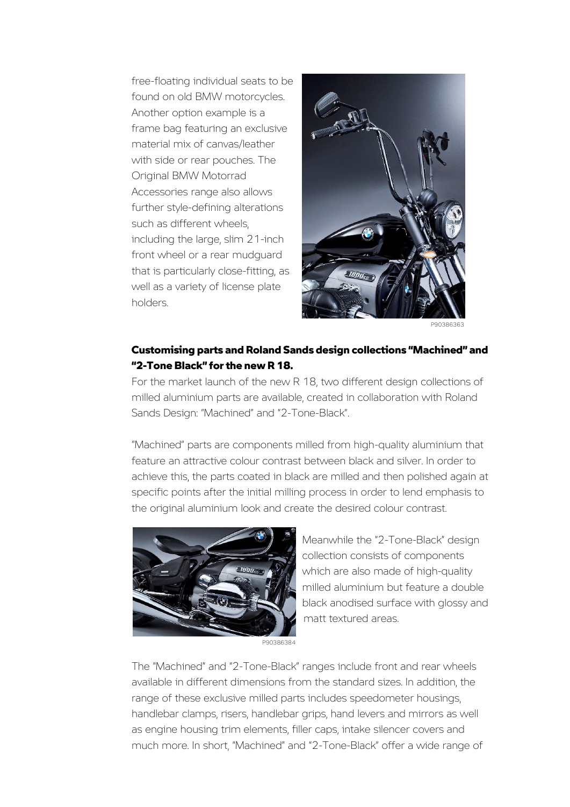free-floating individual seats to be found on old BMW motorcycles. Another option example is a frame bag featuring an exclusive material mix of canvas/leather with side or rear pouches. The Original BMW Motorrad Accessories range also allows further style-defining alterations such as different wheels, including the large, slim 21-inch front wheel or a rear mudguard that is particularly close-fitting, as well as a variety of license plate holders.



P90386363

#### Customising parts and Roland Sands design collections "Machined" and "2-Tone Black" for the new R 18.

For the market launch of the new R 18, two different design collections of milled aluminium parts are available, created in collaboration with Roland Sands Design: "Machined" and "2-Tone-Black".

"Machined" parts are components milled from high-quality aluminium that feature an attractive colour contrast between black and silver. In order to achieve this, the parts coated in black are milled and then polished again at specific points after the initial milling process in order to lend emphasis to the original aluminium look and create the desired colour contrast.



Meanwhile the "2-Tone-Black" design collection consists of components which are also made of high-quality milled aluminium but feature a double black anodised surface with glossy and matt textured areas.

The "Machined" and "2-Tone-Black" ranges include front and rear wheels available in different dimensions from the standard sizes. In addition, the range of these exclusive milled parts includes speedometer housings, handlebar clamps, risers, handlebar grips, hand levers and mirrors as well as engine housing trim elements, filler caps, intake silencer covers and much more. In short, "Machined" and "2-Tone-Black" offer a wide range of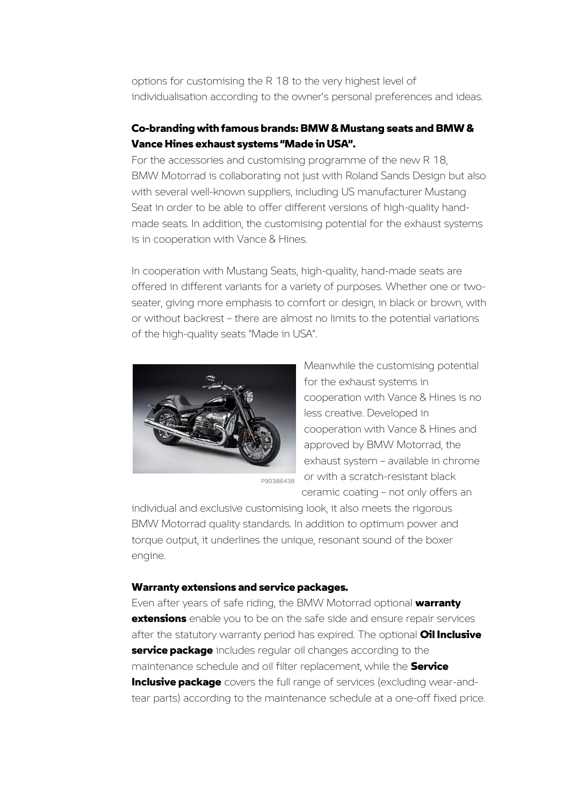options for customising the R 18 to the very highest level of individualisation according to the owner's personal preferences and ideas.

#### Co-branding with famous brands: BMW & Mustang seats and BMW & Vance Hines exhaust systems "Made in USA".

For the accessories and customising programme of the new R 18, BMW Motorrad is collaborating not just with Roland Sands Design but also with several well-known suppliers, including US manufacturer Mustang Seat in order to be able to offer different versions of high-quality handmade seats. In addition, the customising potential for the exhaust systems is in cooperation with Vance & Hines.

In cooperation with Mustang Seats, high-quality, hand-made seats are offered in different variants for a variety of purposes. Whether one or twoseater, giving more emphasis to comfort or design, in black or brown, with or without backrest – there are almost no limits to the potential variations of the high-quality seats "Made in USA".



Meanwhile the customising potential for the exhaust systems in cooperation with Vance & Hines is no less creative. Developed in cooperation with Vance & Hines and approved by BMW Motorrad, the exhaust system – available in chrome or with a scratch-resistant black ceramic coating – not only offers an

individual and exclusive customising look, it also meets the rigorous BMW Motorrad quality standards. In addition to optimum power and torque output, it underlines the unique, resonant sound of the boxer engine.

#### Warranty extensions and service packages.

Even after years of safe riding, the BMW Motorrad optional warranty **extensions** enable you to be on the safe side and ensure repair services after the statutory warranty period has expired. The optional **Oil Inclusive** service package includes regular oil changes according to the maintenance schedule and oil filter replacement, while the **Service Inclusive package** covers the full range of services (excluding wear-andtear parts) according to the maintenance schedule at a one-off fixed price.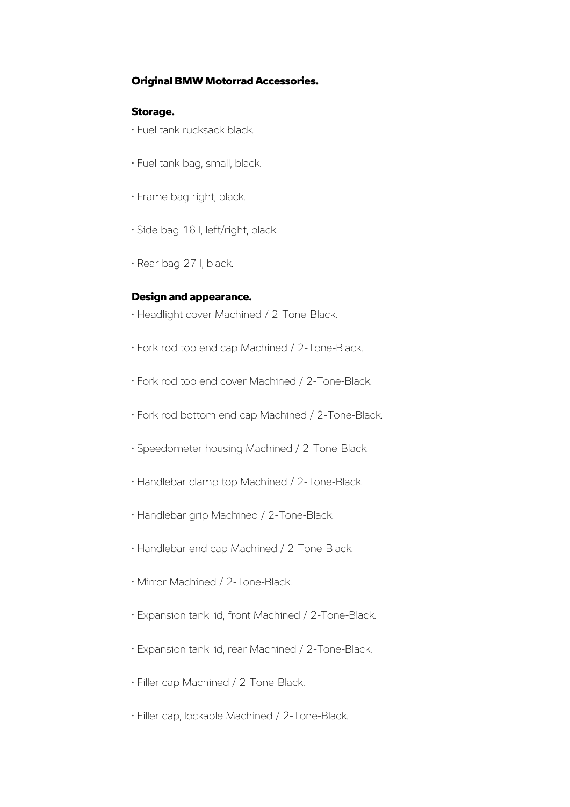#### Original BMW Motorrad Accessories.

#### Storage.

- Fuel tank rucksack black.
- Fuel tank bag, small, black.
- Frame bag right, black.
- Side bag 16 l, left/right, black.
- Rear bag 27 l, black.

#### Design and appearance.

- Headlight cover Machined / 2-Tone-Black.
- Fork rod top end cap Machined / 2-Tone-Black.
- Fork rod top end cover Machined / 2-Tone-Black.
- Fork rod bottom end cap Machined / 2-Tone-Black.
- Speedometer housing Machined / 2-Tone-Black.
- Handlebar clamp top Machined / 2-Tone-Black.
- Handlebar grip Machined / 2-Tone-Black.
- Handlebar end cap Machined / 2-Tone-Black.
- Mirror Machined / 2-Tone-Black.
- Expansion tank lid, front Machined / 2-Tone-Black.
- Expansion tank lid, rear Machined / 2-Tone-Black.
- Filler cap Machined / 2-Tone-Black.
- Filler cap, lockable Machined / 2-Tone-Black.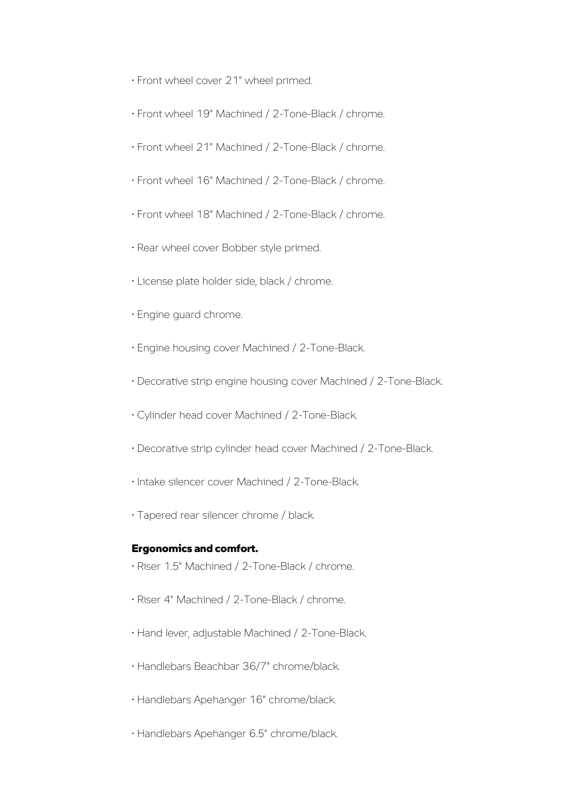- Front wheel cover 21" wheel primed.
- Front wheel 19" Machined / 2-Tone-Black / chrome.
- Front wheel 21" Machined / 2-Tone-Black / chrome.
- Front wheel 16" Machined / 2-Tone-Black / chrome.
- Front wheel 18" Machined / 2-Tone-Black / chrome.
- Rear wheel cover Bobber style primed.
- License plate holder side, black / chrome.
- Engine guard chrome.
- Engine housing cover Machined / 2-Tone-Black.
- Decorative strip engine housing cover Machined / 2-Tone-Black.
- Cylinder head cover Machined / 2-Tone-Black.
- Decorative strip cylinder head cover Machined / 2-Tone-Black.
- Intake silencer cover Machined / 2-Tone-Black.
- Tapered rear silencer chrome / black.

#### Ergonomics and comfort.

- Riser 1.5" Machined / 2-Tone-Black / chrome.
- Riser 4" Machined / 2-Tone-Black / chrome.
- Hand lever, adjustable Machined / 2-Tone-Black.
- Handlebars Beachbar 36/7" chrome/black.
- Handlebars Apehanger 16" chrome/black.
- Handlebars Apehanger 6.5" chrome/black.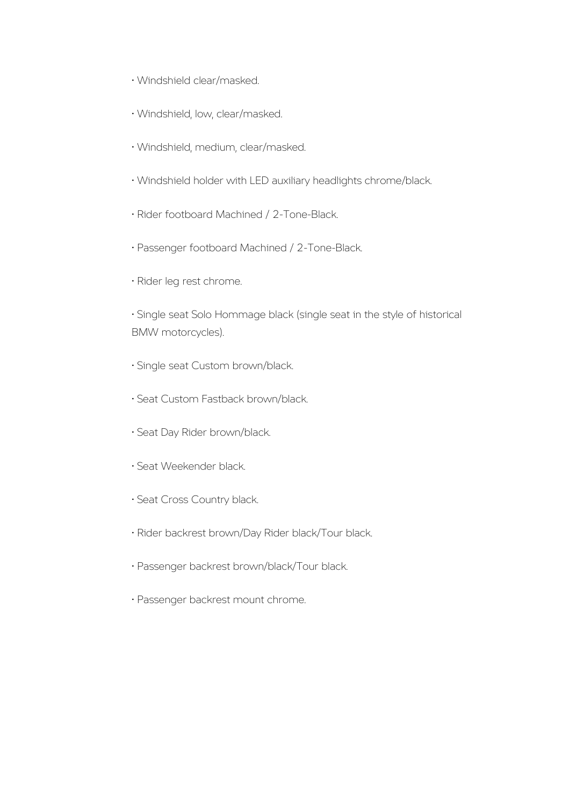- Windshield clear/masked.
- Windshield, low, clear/masked.
- Windshield, medium, clear/masked.
- Windshield holder with LED auxiliary headlights chrome/black.
- Rider footboard Machined / 2-Tone-Black.
- Passenger footboard Machined / 2-Tone-Black.
- Rider leg rest chrome.

• Single seat Solo Hommage black (single seat in the style of historical BMW motorcycles).

- Single seat Custom brown/black.
- Seat Custom Fastback brown/black.
- Seat Day Rider brown/black.
- Seat Weekender black.
- Seat Cross Country black.
- Rider backrest brown/Day Rider black/Tour black.
- Passenger backrest brown/black/Tour black.
- Passenger backrest mount chrome.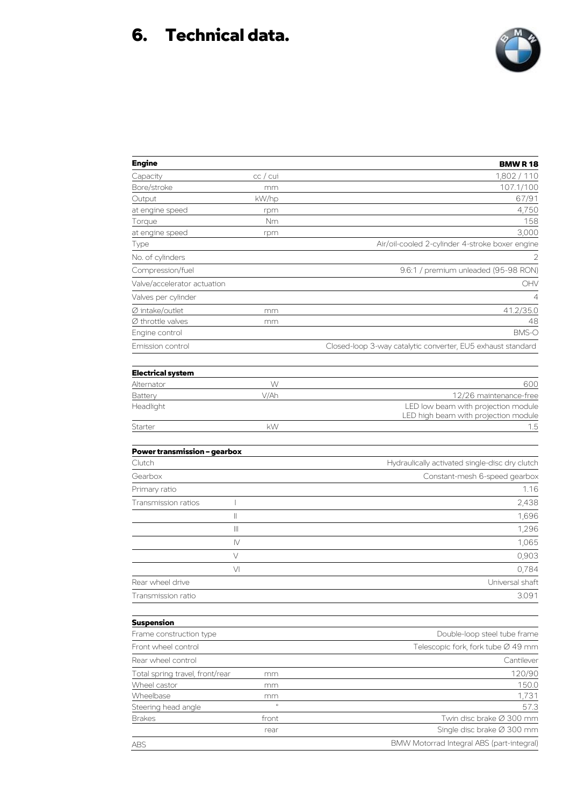# 6. Technical data.



| <b>Engine</b>                          |                                       | <b>BMWR18</b>                                                               |
|----------------------------------------|---------------------------------------|-----------------------------------------------------------------------------|
| Capacity                               | cc / cu                               | 1,802 / 110                                                                 |
| Bore/stroke                            | mm                                    | 107.1/100                                                                   |
| Output                                 | kW/hp                                 | 67/91                                                                       |
| at engine speed                        | rpm                                   | 4,750                                                                       |
| Torque                                 | Nm                                    | 158                                                                         |
| at engine speed                        | rpm                                   | 3,000                                                                       |
| Type                                   |                                       | Air/oil-cooled 2-cylinder 4-stroke boxer engine                             |
| No. of cylinders                       |                                       | 2                                                                           |
| Compression/fuel                       |                                       | 9.6:1 / premium unleaded (95-98 RON)                                        |
| Valve/accelerator actuation            |                                       | OHV                                                                         |
| Valves per cylinder                    |                                       | $\overline{4}$                                                              |
| $\varnothing$ intake/outlet            | mm                                    | 41.2/35.0                                                                   |
| $\varnothing$ throttle valves          | mm                                    | 48                                                                          |
| Engine control                         |                                       | BMS-O                                                                       |
| Emission control                       |                                       | Closed-loop 3-way catalytic converter, EU5 exhaust standard                 |
|                                        |                                       |                                                                             |
| <b>Electrical system</b><br>Alternator | W                                     | 600                                                                         |
| Battery                                | V/Ah                                  | 12/26 maintenance-free                                                      |
| Headlight                              |                                       | LED low beam with projection module<br>LED high beam with projection module |
| Starter                                | kW                                    | 1.5                                                                         |
| <b>Power transmission - gearbox</b>    |                                       |                                                                             |
| Clutch                                 |                                       | Hydraulically activated single-disc dry clutch                              |
| Gearbox                                |                                       | Constant-mesh 6-speed gearbox                                               |
|                                        |                                       |                                                                             |
| Primary ratio                          |                                       | 1.16                                                                        |
| Transmission ratios                    | I                                     | 2,438                                                                       |
|                                        | $\begin{array}{c} \hline \end{array}$ | 1,696                                                                       |
|                                        | $\left\vert \right\vert \right\vert$  | 1,296                                                                       |
|                                        | $\mathsf{N}$                          | 1,065                                                                       |
|                                        | V                                     | 0,903                                                                       |
|                                        | VI                                    | 0,784                                                                       |
| Rear wheel drive                       |                                       | Universal shaft                                                             |
| Transmission ratio                     |                                       | 3.091                                                                       |
| <b>Suspension</b>                      |                                       |                                                                             |
| Frame construction type                |                                       | Double-loop steel tube frame                                                |
| Front wheel control                    |                                       | Telescopic fork, fork tube Ø 49 mm                                          |
| Rear wheel control                     |                                       | Cantilever                                                                  |
|                                        |                                       |                                                                             |
| Total spring travel, front/rear        | mm                                    | 120/90                                                                      |
| Wheel castor<br>Wheelbase              | mm                                    | 150.0<br>1,731                                                              |
| Steering head angle                    | mm<br>$\circ$                         | 57.3                                                                        |
| <b>Brakes</b>                          | front                                 | Twin disc brake Ø 300 mm                                                    |
|                                        | rear                                  | Single disc brake Ø 300 mm                                                  |
|                                        |                                       | BMW Motorrad Integral ABS (part-integral)                                   |
| ABS                                    |                                       |                                                                             |